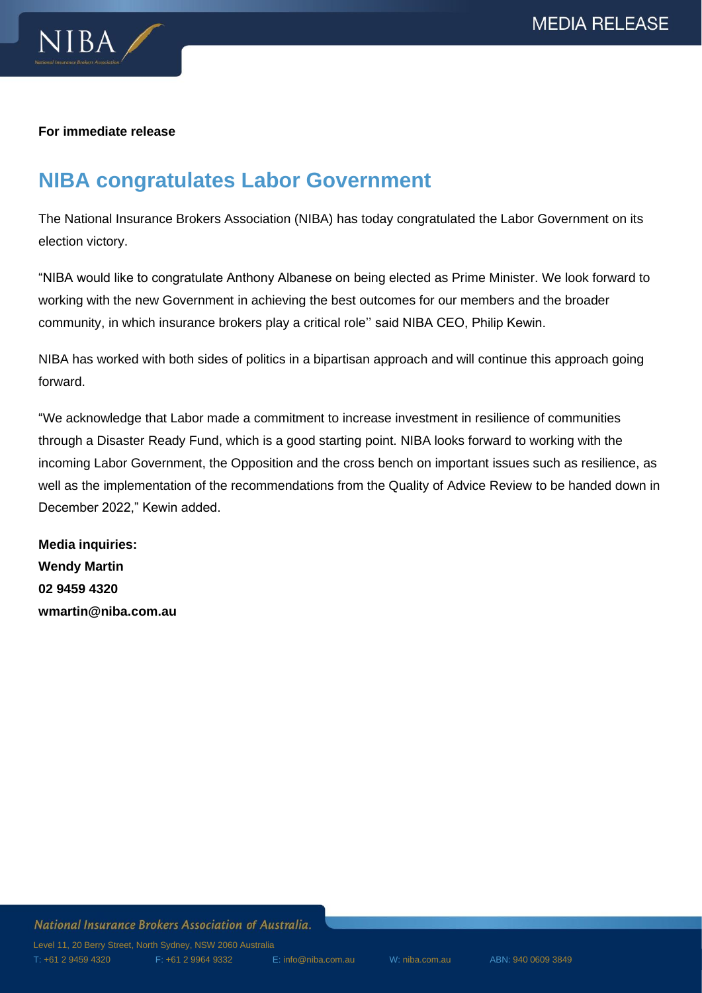

## **For immediate release**

## **NIBA congratulates Labor Government**

The National Insurance Brokers Association (NIBA) has today congratulated the Labor Government on its election victory.

"NIBA would like to congratulate Anthony Albanese on being elected as Prime Minister. We look forward to working with the new Government in achieving the best outcomes for our members and the broader community, in which insurance brokers play a critical role'' said NIBA CEO, Philip Kewin.

NIBA has worked with both sides of politics in a bipartisan approach and will continue this approach going forward.

"We acknowledge that Labor made a commitment to increase investment in resilience of communities through a Disaster Ready Fund, which is a good starting point. NIBA looks forward to working with the incoming Labor Government, the Opposition and the cross bench on important issues such as resilience, as well as the implementation of the recommendations from the Quality of Advice Review to be handed down in December 2022," Kewin added.

**Media inquiries: Wendy Martin 02 9459 4320 wmartin@niba.com.au**

## National Insurance Brokers Association of Australia.

Level 11, 20 Berry Street, North Sydney, NSW 2060 Australia T: +61 2 9459 4320 F: +61 2 9964 9332 E[: info@niba.com.au](mailto:info@niba.com.au) W: niba.com.au ABN: 940 0609 3849